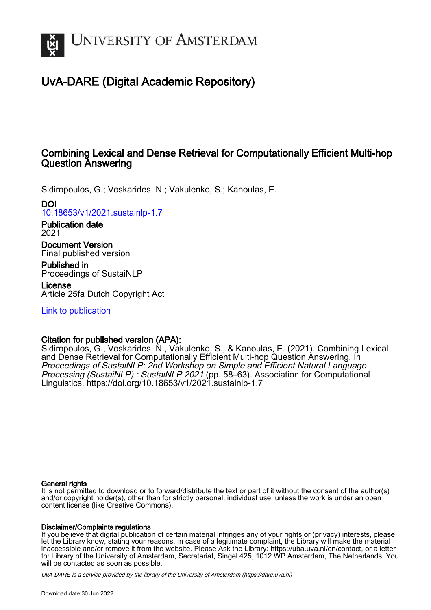

# UvA-DARE (Digital Academic Repository)

## Combining Lexical and Dense Retrieval for Computationally Efficient Multi-hop Question Answering

Sidiropoulos, G.; Voskarides, N.; Vakulenko, S.; Kanoulas, E.

DOI

[10.18653/v1/2021.sustainlp-1.7](https://doi.org/10.18653/v1/2021.sustainlp-1.7)

Publication date 2021

Document Version Final published version

Published in Proceedings of SustaiNLP

License Article 25fa Dutch Copyright Act

[Link to publication](https://dare.uva.nl/personal/pure/en/publications/combining-lexical-and-dense-retrieval-for-computationally-efficient-multihop-question-answering(f647f09e-d17f-4a97-b0ed-63660744ba4c).html)

## Citation for published version (APA):

Sidiropoulos, G., Voskarides, N., Vakulenko, S., & Kanoulas, E. (2021). Combining Lexical and Dense Retrieval for Computationally Efficient Multi-hop Question Answering. In Proceedings of SustaiNLP: 2nd Workshop on Simple and Efficient Natural Language Processing (SustaiNLP) : SustaiNLP 2021 (pp. 58-63). Association for Computational Linguistics. <https://doi.org/10.18653/v1/2021.sustainlp-1.7>

## General rights

It is not permitted to download or to forward/distribute the text or part of it without the consent of the author(s) and/or copyright holder(s), other than for strictly personal, individual use, unless the work is under an open content license (like Creative Commons).

## Disclaimer/Complaints regulations

If you believe that digital publication of certain material infringes any of your rights or (privacy) interests, please let the Library know, stating your reasons. In case of a legitimate complaint, the Library will make the material inaccessible and/or remove it from the website. Please Ask the Library: https://uba.uva.nl/en/contact, or a letter to: Library of the University of Amsterdam, Secretariat, Singel 425, 1012 WP Amsterdam, The Netherlands. You will be contacted as soon as possible.

UvA-DARE is a service provided by the library of the University of Amsterdam (http*s*://dare.uva.nl)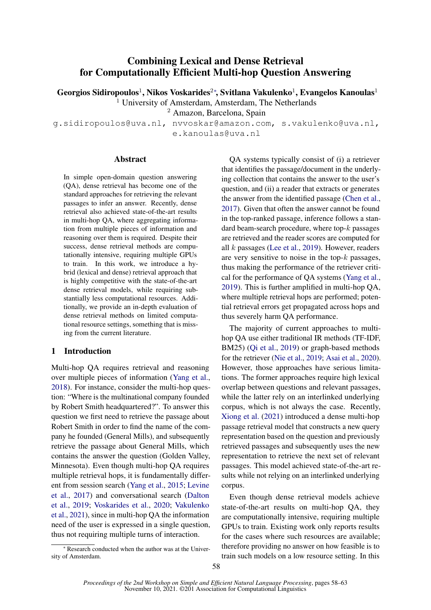## Combining Lexical and Dense Retrieval for Computationally Efficient Multi-hop Question Answering

Georgios Sidiropoulos<sup>1</sup>, Nikos Voskarides<sup>2</sup>\*, Svitlana Vakulenko<sup>1</sup>, Evangelos Kanoulas<sup>1</sup>

<sup>1</sup> University of Amsterdam, Amsterdam, The Netherlands

<sup>2</sup> Amazon, Barcelona, Spain

g.sidiropoulos@uva.nl, nvvoskar@amazon.com, s.vakulenko@uva.nl,

e.kanoulas@uva.nl

#### Abstract

In simple open-domain question answering (QA), dense retrieval has become one of the standard approaches for retrieving the relevant passages to infer an answer. Recently, dense retrieval also achieved state-of-the-art results in multi-hop QA, where aggregating information from multiple pieces of information and reasoning over them is required. Despite their success, dense retrieval methods are computationally intensive, requiring multiple GPUs to train. In this work, we introduce a hybrid (lexical and dense) retrieval approach that is highly competitive with the state-of-the-art dense retrieval models, while requiring substantially less computational resources. Additionally, we provide an in-depth evaluation of dense retrieval methods on limited computational resource settings, something that is missing from the current literature.

## 1 Introduction

Multi-hop QA requires retrieval and reasoning over multiple pieces of information [\(Yang et al.,](#page-6-0) [2018\)](#page-6-0). For instance, consider the multi-hop question: "Where is the multinational company founded by Robert Smith headquartered?". To answer this question we first need to retrieve the passage about Robert Smith in order to find the name of the company he founded (General Mills), and subsequently retrieve the passage about General Mills, which contains the answer the question (Golden Valley, Minnesota). Even though multi-hop QA requires multiple retrieval hops, it is fundamentally different from session search [\(Yang et al.,](#page-6-1) [2015;](#page-6-1) [Levine](#page-6-2) [et al.,](#page-6-2) [2017\)](#page-6-2) and conversational search [\(Dalton](#page-6-3) [et al.,](#page-6-3) [2019;](#page-6-3) [Voskarides et al.,](#page-6-4) [2020;](#page-6-4) [Vakulenko](#page-6-5) [et al.,](#page-6-5) [2021\)](#page-6-5), since in multi-hop QA the information need of the user is expressed in a single question, thus not requiring multiple turns of interaction.

QA systems typically consist of (i) a retriever that identifies the passage/document in the underlying collection that contains the answer to the user's question, and (ii) a reader that extracts or generates the answer from the identified passage [\(Chen et al.,](#page-6-6) [2017\)](#page-6-6). Given that often the answer cannot be found in the top-ranked passage, inference follows a standard beam-search procedure, where top-k passages are retrieved and the reader scores are computed for all k passages [\(Lee et al.,](#page-6-7) [2019\)](#page-6-7). However, readers are very sensitive to noise in the top- $k$  passages, thus making the performance of the retriever critical for the performance of QA systems [\(Yang et al.,](#page-6-8) [2019\)](#page-6-8). This is further amplified in multi-hop QA, where multiple retrieval hops are performed; potential retrieval errors get propagated across hops and thus severely harm QA performance.

The majority of current approaches to multihop QA use either traditional IR methods (TF-IDF, BM25) [\(Qi et al.,](#page-6-9) [2019\)](#page-6-9) or graph-based methods for the retriever [\(Nie et al.,](#page-6-10) [2019;](#page-6-10) [Asai et al.,](#page-6-11) [2020\)](#page-6-11). However, those approaches have serious limitations. The former approaches require high lexical overlap between questions and relevant passages, while the latter rely on an interlinked underlying corpus, which is not always the case. Recently, [Xiong et al.](#page-6-12) [\(2021\)](#page-6-12) introduced a dense multi-hop passage retrieval model that constructs a new query representation based on the question and previously retrieved passages and subsequently uses the new representation to retrieve the next set of relevant passages. This model achieved state-of-the-art results while not relying on an interlinked underlying corpus.

Even though dense retrieval models achieve state-of-the-art results on multi-hop QA, they are computationally intensive, requiring multiple GPUs to train. Existing work only reports results for the cases where such resources are available; therefore providing no answer on how feasible is to train such models on a low resource setting. In this

<sup>∗</sup> Research conducted when the author was at the University of Amsterdam.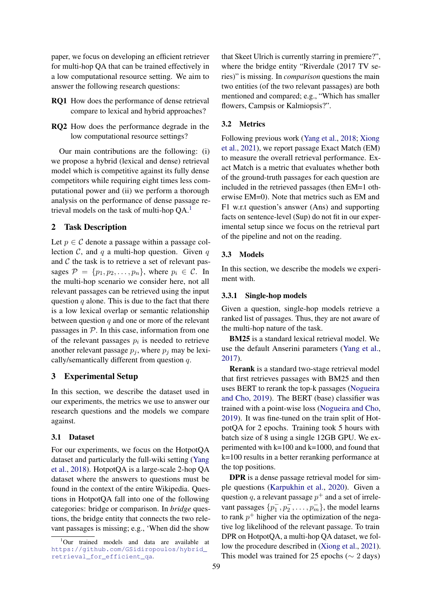paper, we focus on developing an efficient retriever for multi-hop QA that can be trained effectively in a low computational resource setting. We aim to answer the following research questions:

- RQ1 How does the performance of dense retrieval compare to lexical and hybrid approaches?
- RQ2 How does the performance degrade in the low computational resource settings?

Our main contributions are the following: (i) we propose a hybrid (lexical and dense) retrieval model which is competitive against its fully dense competitors while requiring eight times less computational power and (ii) we perform a thorough analysis on the performance of dense passage retrieval models on the task of multi-hop  $QA<sup>1</sup>$  $QA<sup>1</sup>$  $QA<sup>1</sup>$ .

## 2 Task Description

Let  $p \in \mathcal{C}$  denote a passage within a passage collection  $C$ , and q a multi-hop question. Given q and  $C$  the task is to retrieve a set of relevant passages  $\mathcal{P} = \{p_1, p_2, \ldots, p_n\}$ , where  $p_i \in \mathcal{C}$ . In the multi-hop scenario we consider here, not all relevant passages can be retrieved using the input question  $q$  alone. This is due to the fact that there is a low lexical overlap or semantic relationship between question  $q$  and one or more of the relevant passages in  $P$ . In this case, information from one of the relevant passages  $p_i$  is needed to retrieve another relevant passage  $p_i$ , where  $p_i$  may be lexically/semantically different from question q.

## 3 Experimental Setup

In this section, we describe the dataset used in our experiments, the metrics we use to answer our research questions and the models we compare against.

### 3.1 Dataset

For our experiments, we focus on the HotpotQA dataset and particularly the full-wiki setting [\(Yang](#page-6-0) [et al.,](#page-6-0) [2018\)](#page-6-0). HotpotQA is a large-scale 2-hop QA dataset where the answers to questions must be found in the context of the entire Wikipedia. Questions in HotpotQA fall into one of the following categories: bridge or comparison. In *bridge* questions, the bridge entity that connects the two relevant passages is missing; e.g., 'When did the show

that Skeet Ulrich is currently starring in premiere?", where the bridge entity "Riverdale (2017 TV series)" is missing. In *comparison* questions the main two entities (of the two relevant passages) are both mentioned and compared; e.g., "Which has smaller flowers, Campsis or Kalmiopsis?".

## 3.2 Metrics

Following previous work [\(Yang et al.,](#page-6-0) [2018;](#page-6-0) [Xiong](#page-6-12) [et al.,](#page-6-12) [2021\)](#page-6-12), we report passage Exact Match (EM) to measure the overall retrieval performance. Exact Match is a metric that evaluates whether both of the ground-truth passages for each question are included in the retrieved passages (then EM=1 otherwise EM=0). Note that metrics such as EM and F1 w.r.t question's answer (Ans) and supporting facts on sentence-level (Sup) do not fit in our experimental setup since we focus on the retrieval part of the pipeline and not on the reading.

#### <span id="page-2-2"></span>3.3 Models

In this section, we describe the models we experiment with.

#### <span id="page-2-1"></span>3.3.1 Single-hop models

Given a question, single-hop models retrieve a ranked list of passages. Thus, they are not aware of the multi-hop nature of the task.

BM25 is a standard lexical retrieval model. We use the default Anserini parameters [\(Yang et al.,](#page-6-13) [2017\)](#page-6-13).

Rerank is a standard two-stage retrieval model that first retrieves passages with BM25 and then uses BERT to rerank the top-k passages [\(Nogueira](#page-6-14) [and Cho,](#page-6-14) [2019\)](#page-6-14). The BERT (base) classifier was trained with a point-wise loss [\(Nogueira and Cho,](#page-6-14) [2019\)](#page-6-14). It was fine-tuned on the train split of HotpotQA for 2 epochs. Training took 5 hours with batch size of 8 using a single 12GB GPU. We experimented with  $k=100$  and  $k=1000$ , and found that k=100 results in a better reranking performance at the top positions.

DPR is a dense passage retrieval model for simple questions [\(Karpukhin et al.,](#page-6-15) [2020\)](#page-6-15). Given a question q, a relevant passage  $p^+$  and a set of irrelevant passages  $\{p_1^-, p_2^-, \ldots, p_m^-\}$ , the model learns to rank  $p^+$  higher via the optimization of the negative log likelihood of the relevant passage. To train DPR on HotpotQA, a multi-hop QA dataset, we follow the procedure described in [\(Xiong et al.,](#page-6-12) [2021\)](#page-6-12). This model was trained for 25 epochs ( $\sim$  2 days)

<span id="page-2-0"></span><sup>1</sup>Our trained models and data are available at [https://github.com/GSidiropoulos/hybrid\\_](https://github.com/GSidiropoulos/hybrid_retrieval_for_efficient_qa) [retrieval\\_for\\_efficient\\_qa](https://github.com/GSidiropoulos/hybrid_retrieval_for_efficient_qa).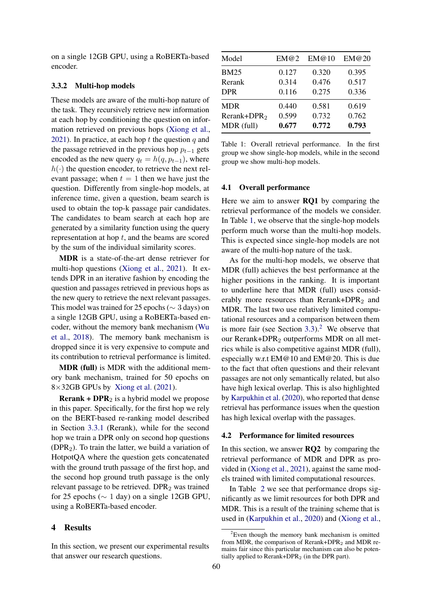on a single 12GB GPU, using a RoBERTa-based encoder.

## 3.3.2 Multi-hop models

These models are aware of the multi-hop nature of the task. They recursively retrieve new information at each hop by conditioning the question on information retrieved on previous hops [\(Xiong et al.,](#page-6-12) [2021\)](#page-6-12). In practice, at each hop  $t$  the question  $q$  and the passage retrieved in the previous hop  $p_{t-1}$  gets encoded as the new query  $q_t = h(q, p_{t-1})$ , where  $h(\cdot)$  the question encoder, to retrieve the next relevant passage; when  $t = 1$  then we have just the question. Differently from single-hop models, at inference time, given a question, beam search is used to obtain the top-k passage pair candidates. The candidates to beam search at each hop are generated by a similarity function using the query representation at hop  $t$ , and the beams are scored by the sum of the individual similarity scores.

MDR is a state-of-the-art dense retriever for multi-hop questions [\(Xiong et al.,](#page-6-12) [2021\)](#page-6-12). It extends DPR in an iterative fashion by encoding the question and passages retrieved in previous hops as the new query to retrieve the next relevant passages. This model was trained for 25 epochs ( $\sim$  3 days) on a single 12GB GPU, using a RoBERTa-based encoder, without the memory bank mechanism [\(Wu](#page-6-16) [et al.,](#page-6-16) [2018\)](#page-6-16). The memory bank mechanism is dropped since it is very expensive to compute and its contribution to retrieval performance is limited.

MDR (full) is MDR with the additional memory bank mechanism, trained for 50 epochs on  $8\times32GB$  GPUs by [Xiong et al.](#page-6-12) [\(2021\)](#page-6-12).

**Rerank + DPR**<sub>2</sub> is a hybrid model we propose in this paper. Specifically, for the first hop we rely on the BERT-based re-ranking model described in Section [3.3.1](#page-2-1) (Rerank), while for the second hop we train a DPR only on second hop questions  $(DPR<sub>2</sub>)$ . To train the latter, we build a variation of HotpotQA where the question gets concatenated with the ground truth passage of the first hop, and the second hop ground truth passage is the only relevant passage to be retrieved. DPR<sub>2</sub> was trained for 25 epochs ( $\sim$  1 day) on a single 12GB GPU, using a RoBERTa-based encoder.

## 4 Results

In this section, we present our experimental results that answer our research questions.

<span id="page-3-0"></span>

| Model                   | EM@2  | EM@10 | EM@20 |
|-------------------------|-------|-------|-------|
| <b>BM25</b>             | 0.127 | 0.320 | 0.395 |
| Rerank                  | 0.314 | 0.476 | 0.517 |
| <b>DPR</b>              | 0.116 | 0.275 | 0.336 |
| MDR                     | 0.440 | 0.581 | 0.619 |
| Rerank+DPR <sub>2</sub> | 0.599 | 0.732 | 0.762 |
| MDR (full)              | 0.677 | 0.772 | 0.793 |

Table 1: Overall retrieval performance. In the first group we show single-hop models, while in the second group we show multi-hop models.

## 4.1 Overall performance

Here we aim to answer **RQ1** by comparing the retrieval performance of the models we consider. In Table [1,](#page-3-0) we observe that the single-hop models perform much worse than the multi-hop models. This is expected since single-hop models are not aware of the multi-hop nature of the task.

As for the multi-hop models, we observe that MDR (full) achieves the best performance at the higher positions in the ranking. It is important to underline here that MDR (full) uses considerably more resources than Rerank+DPR<sub>2</sub> and MDR. The last two use relatively limited computational resources and a comparison between them is more fair (see Section  $3.3$ ).<sup>[2](#page-3-1)</sup> We observe that our Rerank+DPR<sup>2</sup> outperforms MDR on all metrics while is also competitive against MDR (full), especially w.r.t EM@10 and EM@20. This is due to the fact that often questions and their relevant passages are not only semantically related, but also have high lexical overlap. This is also highlighted by [Karpukhin et al.](#page-6-15) [\(2020\)](#page-6-15), who reported that dense retrieval has performance issues when the question has high lexical overlap with the passages.

## 4.2 Performance for limited resources

In this section, we answer **RO2** by comparing the retrieval performance of MDR and DPR as provided in [\(Xiong et al.,](#page-6-12) [2021\)](#page-6-12), against the same models trained with limited computational resources.

In Table [2](#page-4-0) we see that performance drops significantly as we limit resources for both DPR and MDR. This is a result of the training scheme that is used in [\(Karpukhin et al.,](#page-6-15) [2020\)](#page-6-15) and [\(Xiong et al.,](#page-6-12)

<span id="page-3-1"></span> $2$ Even though the memory bank mechanism is omitted from MDR, the comparison of Rerank+DPR<sub>2</sub> and MDR remains fair since this particular mechanism can also be potentially applied to Rerank+DPR $_2$  (in the DPR part).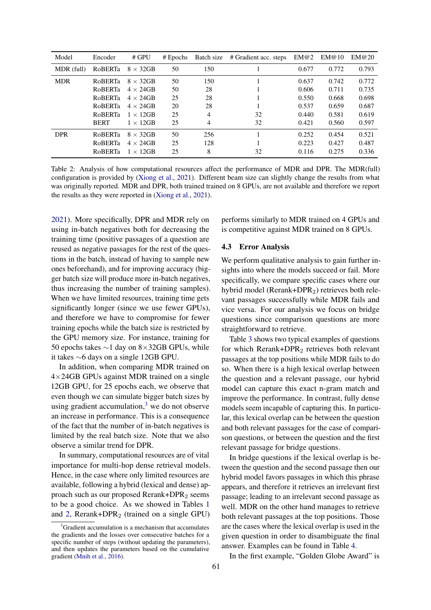<span id="page-4-0"></span>

| Model      | Encoder        | # GPU            | $#$ Epochs | Batch size | # Gradient acc. steps | EM@2  | EM@10 | EM@20 |
|------------|----------------|------------------|------------|------------|-----------------------|-------|-------|-------|
| MDR (full) | <b>RoBERTa</b> | $8 \times 32$ GB | 50         | 150        |                       | 0.677 | 0.772 | 0.793 |
| <b>MDR</b> | <b>ROBERTa</b> | $8 \times 32$ GB | 50         | 150        |                       | 0.637 | 0.742 | 0.772 |
|            | <b>RoBERTa</b> | $4 \times 24$ GB | 50         | 28         |                       | 0.606 | 0.711 | 0.735 |
|            | RoBERTa        | $4 \times 24$ GB | 25         | 28         |                       | 0.550 | 0.668 | 0.698 |
|            | RoBERTa        | $4 \times 24$ GB | 20         | 28         |                       | 0.537 | 0.659 | 0.687 |
|            | <b>RoBERTa</b> | $1 \times 12$ GB | 25         | 4          | 32                    | 0.440 | 0.581 | 0.619 |
|            | <b>BERT</b>    | $1 \times 12$ GB | 25         | 4          | 32                    | 0.421 | 0.560 | 0.597 |
| <b>DPR</b> | <b>ROBERTa</b> | $8 \times 32$ GB | 50         | 256        |                       | 0.252 | 0.454 | 0.521 |
|            | <b>ROBERTa</b> | $4 \times 24$ GB | 25         | 128        |                       | 0.223 | 0.427 | 0.487 |
|            | <b>ROBERTa</b> | $1 \times 12$ GB | 25         | 8          | 32                    | 0.116 | 0.275 | 0.336 |

Table 2: Analysis of how computational resources affect the performance of MDR and DPR. The MDR(full) configuration is provided by [\(Xiong et al.,](#page-6-12) [2021\)](#page-6-12). Different beam size can slightly change the results from what was originally reported. MDR and DPR, both trained trained on 8 GPUs, are not available and therefore we report the results as they were reported in [\(Xiong et al.,](#page-6-12) [2021\)](#page-6-12).

[2021\)](#page-6-12). More specifically, DPR and MDR rely on using in-batch negatives both for decreasing the training time (positive passages of a question are reused as negative passages for the rest of the questions in the batch, instead of having to sample new ones beforehand), and for improving accuracy (bigger batch size will produce more in-batch negatives, thus increasing the number of training samples). When we have limited resources, training time gets significantly longer (since we use fewer GPUs), and therefore we have to compromise for fewer training epochs while the batch size is restricted by the GPU memory size. For instance, training for 50 epochs takes ∼1 day on 8×32GB GPUs, while it takes ∼6 days on a single 12GB GPU.

In addition, when comparing MDR trained on  $4\times24GB$  GPUs against MDR trained on a single 12GB GPU, for 25 epochs each, we observe that even though we can simulate bigger batch sizes by using gradient accumulation, $3$  we do not observe an increase in performance. This is a consequence of the fact that the number of in-batch negatives is limited by the real batch size. Note that we also observe a similar trend for DPR.

In summary, computational resources are of vital importance for multi-hop dense retrieval models. Hence, in the case where only limited resources are available, following a hybrid (lexical and dense) approach such as our proposed Rerank+DPR<sub>2</sub> seems to be a good choice. As we showed in Tables [1](#page-3-0) and [2,](#page-4-0) Rerank+DPR<sub>2</sub> (trained on a single GPU)

performs similarly to MDR trained on 4 GPUs and is competitive against MDR trained on 8 GPUs.

### 4.3 Error Analysis

We perform qualitative analysis to gain further insights into where the models succeed or fail. More specifically, we compare specific cases where our hybrid model ( $Rerank+DPR<sub>2</sub>$ ) retrieves both relevant passages successfully while MDR fails and vice versa. For our analysis we focus on bridge questions since comparison questions are more straightforward to retrieve.

Table [3](#page-5-0) shows two typical examples of questions for which Rerank+DPR<sub>2</sub> retrieves both relevant passages at the top positions while MDR fails to do so. When there is a high lexical overlap between the question and a relevant passage, our hybrid model can capture this exact n-gram match and improve the performance. In contrast, fully dense models seem incapable of capturing this. In particular, this lexical overlap can be between the question and both relevant passages for the case of comparison questions, or between the question and the first relevant passage for bridge questions.

In bridge questions if the lexical overlap is between the question and the second passage then our hybrid model favors passages in which this phrase appears, and therefore it retrieves an irrelevant first passage; leading to an irrelevant second passage as well. MDR on the other hand manages to retrieve both relevant passages at the top positions. Those are the cases where the lexical overlap is used in the given question in order to disambiguate the final answer. Examples can be found in Table [4.](#page-5-1)

In the first example, "Golden Globe Award" is

<span id="page-4-1"></span> $3$ Gradient accumulation is a mechanism that accumulates the gradients and the losses over consecutive batches for a specific number of steps (without updating the parameters), and then updates the parameters based on the cumulative gradient [\(Mnih et al.,](#page-6-17) [2016\)](#page-6-17).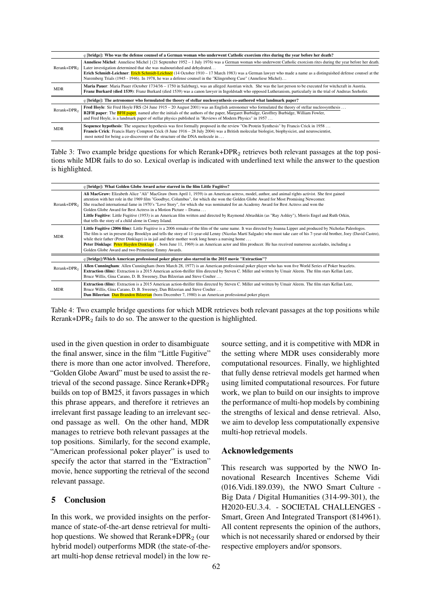<span id="page-5-0"></span>

| q [bridge]: Who was the defense counsel of a German woman who underwent Catholic exorcism rites during the year before her death? |                                                                                                                                                                                                                                                                                                                                                                                                                                                                                                                                  |  |  |
|-----------------------------------------------------------------------------------------------------------------------------------|----------------------------------------------------------------------------------------------------------------------------------------------------------------------------------------------------------------------------------------------------------------------------------------------------------------------------------------------------------------------------------------------------------------------------------------------------------------------------------------------------------------------------------|--|--|
| Rerank+DPR <sub>2</sub>                                                                                                           | Anneliese Michel: Anneliese Michel   (21 September 1952 – 1 July 1976) was a German woman who underwent Catholic exorcism rites during the year before her death.<br>Later investigation determined that she was malnourished and dehydrated<br>Erich Schmidt-Leichner: Erich Schmidt-Leichner (14 October 1910 – 17 March 1983) was a German lawyer who made a name as a distinguished defense counsel at the<br>Nuremberg Trials (1945 - 1946). In 1978, he was a defense counsel in the "Klingenberg Case" (Anneliese Michel) |  |  |
| <b>MDR</b>                                                                                                                        | Maria Pauer: Maria Pauer (October 1734/36 – 1750 in Salzburg), was an alleged Austrian witch. She was the last person to be executed for witchcraft in Austria.<br>Franz Burkard (died 1539): Franz Burkard (died 1539) was a canon lawyer in Ingoldstadt who opposed Lutheranism, particularly in the trial of Andreas Seehofer.                                                                                                                                                                                                |  |  |
| q [bridge]: The astronomer who formulated the theory of stellar nucleosynthesis co-authored what landmark paper?                  |                                                                                                                                                                                                                                                                                                                                                                                                                                                                                                                                  |  |  |
| Rerank+DPR <sub>2</sub>                                                                                                           | Fred Hoyle: Sir Fred Hoyle FRS (24 June 1915 – 20 August 2001) was an English astronomer who formulated the theory of stellar nucleosynthesis<br><b>B2FH paper:</b> The <b>BFH paper</b> , named after the initials of the authors of the paper, Margaret Burbidge, Geoffrey Burbidge, William Fowler,<br>and Fred Hoyle, is a landmark paper of stellar physics published in "Reviews of Modern Physics" in 1957                                                                                                                |  |  |
| <b>MDR</b>                                                                                                                        | Sequence hypothesis: The sequence hypothesis was first formally proposed in the review "On Protein Synthesis" by Francis Crick in 1958<br>Francis Crick: Francis Harry Compton Crick (8 June 1916 – 28 July 2004) was a British molecular biologist, biophysicist, and neuroscientist,<br>most noted for being a co-discoverer of the structure of the DNA molecule in                                                                                                                                                           |  |  |

Table 3: Two example bridge questions for which Rerank+DPR<sub>2</sub> retrieves both relevant passages at the top positions while MDR fails to do so. Lexical overlap is indicated with underlined text while the answer to the question is highlighted.

<span id="page-5-1"></span>

|                                                                                                   | q [bridge]: What Golden Globe Award actor starred in the film Little Fugitive?                                                                                                                                                                                                                                                                                                                                                                                                                                                                                                                                                                                                                                           |  |  |
|---------------------------------------------------------------------------------------------------|--------------------------------------------------------------------------------------------------------------------------------------------------------------------------------------------------------------------------------------------------------------------------------------------------------------------------------------------------------------------------------------------------------------------------------------------------------------------------------------------------------------------------------------------------------------------------------------------------------------------------------------------------------------------------------------------------------------------------|--|--|
| Rerank+DPR <sub>2</sub>                                                                           | Ali MacGraw: Elizabeth Alice "Ali" MacGraw (born April 1, 1939) is an American actress, model, author, and animal rights activist. She first gained<br>attention with her role in the 1969 film "Goodbye, Columbus", for which she won the Golden Globe Award for Most Promising Newcomer.<br>She reached international fame in 1970's "Love Story", for which she was nominated for an Academy Award for Best Actress and won the<br>Golden Globe Award for Best Actress in a Motion Picture – Drama<br>Little Fugitive: Little Fugitive (1953) is an American film written and directed by Raymond Abrashkin (as "Ray Ashley"), Morris Engel and Ruth Orkin,<br>that tells the story of a child alone in Coney Island. |  |  |
| <b>MDR</b>                                                                                        | Little Fugitive (2006 film): Little Fugitive is a 2006 remake of the film of the same name. It was directed by Joanna Lipper and produced by Nicholas Paleologos.<br>The film is set in present day Brooklyn and tells the story of 11-year-old Lenny (Nicolas Martí Salgado) who must take care of his 7-year-old brother, Joey (David Castro),<br>while their father (Peter Dinklage) is in jail and their mother work long hours a nursing home $\dots$<br>Peter Dinklage: Peter Hayden Dinklage (, born June 11, 1969) is an American actor and film producer. He has received numerous accolades, including a<br>Golden Globe Award and two Primetime Emmy Awards.                                                  |  |  |
| q [bridge]: Which American professional poker player also starred in the 2015 movie "Extraction"? |                                                                                                                                                                                                                                                                                                                                                                                                                                                                                                                                                                                                                                                                                                                          |  |  |
| Rerank+DPR <sub>2</sub>                                                                           | Allen Cunningham: Allen Cunningham (born March 28, 1977) is an American professional poker player who has won five World Series of Poker bracelets.<br><b>Extraction (film)</b> : Extraction is a 2015 American action-thriller film directed by Steven C. Miller and written by Umair Aleem. The film stars Kellan Lutz,<br>Bruce Willis, Gina Carano, D. B. Sweeney, Dan Bilzerian and Steve Coulter                                                                                                                                                                                                                                                                                                                   |  |  |
| <b>MDR</b>                                                                                        | Extraction (film): Extraction is a 2015 American action-thriller film directed by Steven C. Miller and written by Umair Aleem. The film stars Kellan Lutz,<br>Bruce Willis, Gina Carano, D. B. Sweeney, Dan Bilzerian and Steve Coulter<br>Dan Bilzerian: Dan Brandon Bilzerian (born December 7, 1980) is an American professional poker player.                                                                                                                                                                                                                                                                                                                                                                        |  |  |

Table 4: Two example bridge questions for which MDR retrieves both relevant passages at the top positions while Rerank+DPR<sup>2</sup> fails to do so. The answer to the question is highlighted.

used in the given question in order to disambiguate the final answer, since in the film "Little Fugitive" there is more than one actor involved. Therefore, "Golden Globe Award" must be used to assist the retrieval of the second passage. Since Rerank+DPR<sup>2</sup> builds on top of BM25, it favors passages in which this phrase appears, and therefore it retrieves an irrelevant first passage leading to an irrelevant second passage as well. On the other hand, MDR manages to retrieve both relevant passages at the top positions. Similarly, for the second example, "American professional poker player" is used to specify the actor that starred in the "Extraction" movie, hence supporting the retrieval of the second relevant passage.

## 5 Conclusion

In this work, we provided insights on the performance of state-of-the-art dense retrieval for multihop questions. We showed that Rerank+DPR<sub>2</sub> (our hybrid model) outperforms MDR (the state-of-theart multi-hop dense retrieval model) in the low resource setting, and it is competitive with MDR in the setting where MDR uses considerably more computational resources. Finally, we highlighted that fully dense retrieval models get harmed when using limited computational resources. For future work, we plan to build on our insights to improve the performance of multi-hop models by combining the strengths of lexical and dense retrieval. Also, we aim to develop less computationally expensive multi-hop retrieval models.

## Acknowledgements

This research was supported by the NWO Innovational Research Incentives Scheme Vidi (016.Vidi.189.039), the NWO Smart Culture - Big Data / Digital Humanities (314-99-301), the H2020-EU.3.4. - SOCIETAL CHALLENGES - Smart, Green And Integrated Transport (814961). All content represents the opinion of the authors, which is not necessarily shared or endorsed by their respective employers and/or sponsors.